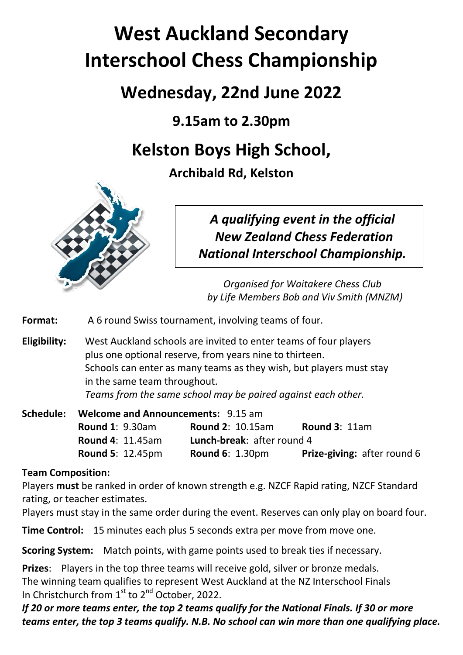# **West Auckland Secondary Interschool Chess Championship**

## **Wednesday, 22nd June 2022**

**9.15am to 2.30pm**

## **Kelston Boys High School,**

**Archibald Rd, Kelston**



*A qualifying event in the official New Zealand Chess Federation National Interschool Championship.*

*Organised for Waitakere Chess Club by Life Members Bob and Viv Smith (MNZM)*

**Format:** A 6 round Swiss tournament, involving teams of four.

**Eligibility:** West Auckland schools are invited to enter teams of four players plus one optional reserve, from years nine to thirteen. Schools can enter as many teams as they wish, but players must stay in the same team throughout. *Teams from the same school may be paired against each other.* 

**Schedule: Welcome and Announcements:** 9.15 am **Round 1**: 9.30am **Round 2**: 10.15am **Round 3**: 11am **Round 4**: 11.45am **Lunch-break**: after round 4 **Round 5**: 12.45pm **Round 6**: 1.30pm **Prize-giving:** after round 6

### **Team Composition:**

Players **must** be ranked in order of known strength e.g. NZCF Rapid rating, NZCF Standard rating, or teacher estimates.

Players must stay in the same order during the event. Reserves can only play on board four.

**Time Control:** 15 minutes each plus 5 seconds extra per move from move one.

**Scoring System:** Match points, with game points used to break ties if necessary.

**Prizes**: Players in the top three teams will receive gold, silver or bronze medals. The winning team qualifies to represent West Auckland at the NZ Interschool Finals In Christchurch from  $1<sup>st</sup>$  to  $2<sup>nd</sup>$  October, 2022.

*If 20 or more teams enter, the top 2 teams qualify for the National Finals. If 30 or more teams enter, the top 3 teams qualify. N.B. No school can win more than one qualifying place.*